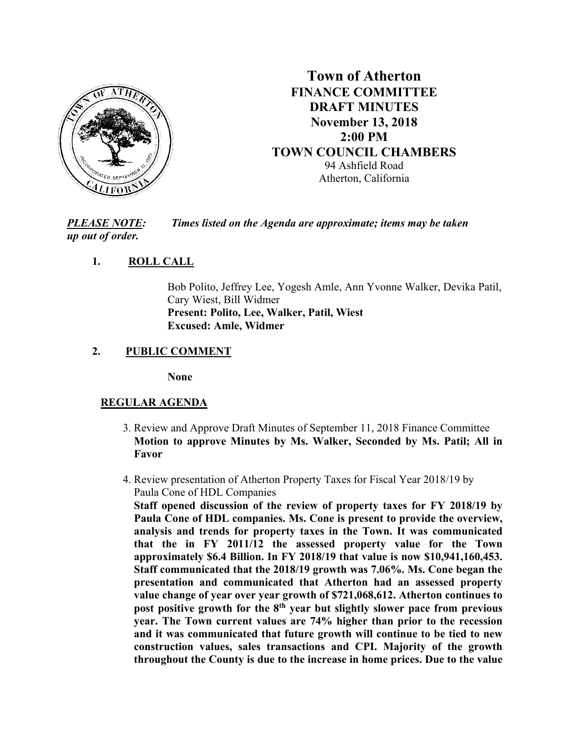

# **Town of Atherton FINANCE COMMITTEE DRAFT MINUTES November 13, 2018 2:00 PM TOWN COUNCIL CHAMBERS** 94 Ashfield Road Atherton, California

*PLEASE NOTE: Times listed on the Agenda are approximate; items may be taken up out of order.*

## **1. ROLL CALL**

Bob Polito, Jeffrey Lee, Yogesh Amle, Ann Yvonne Walker, Devika Patil, Cary Wiest, Bill Widmer **Present: Polito, Lee, Walker, Patil, Wiest Excused: Amle, Widmer**

## **2. PUBLIC COMMENT**

**None**

## **REGULAR AGENDA**

- 3. Review and Approve Draft Minutes of September 11, 2018 Finance Committee **Motion to approve Minutes by Ms. Walker, Seconded by Ms. Patil; All in Favor**
- 4. Review presentation of Atherton Property Taxes for Fiscal Year 2018/19 by Paula Cone of HDL Companies

**Staff opened discussion of the review of property taxes for FY 2018/19 by Paula Cone of HDL companies. Ms. Cone is present to provide the overview, analysis and trends for property taxes in the Town. It was communicated that the in FY 2011/12 the assessed property value for the Town approximately \$6.4 Billion. In FY 2018/19 that value is now \$10,941,160,453. Staff communicated that the 2018/19 growth was 7.06%. Ms. Cone began the presentation and communicated that Atherton had an assessed property value change of year over year growth of \$721,068,612. Atherton continues to post positive growth for the 8th year but slightly slower pace from previous year. The Town current values are 74% higher than prior to the recession and it was communicated that future growth will continue to be tied to new construction values, sales transactions and CPI. Majority of the growth throughout the County is due to the increase in home prices. Due to the value**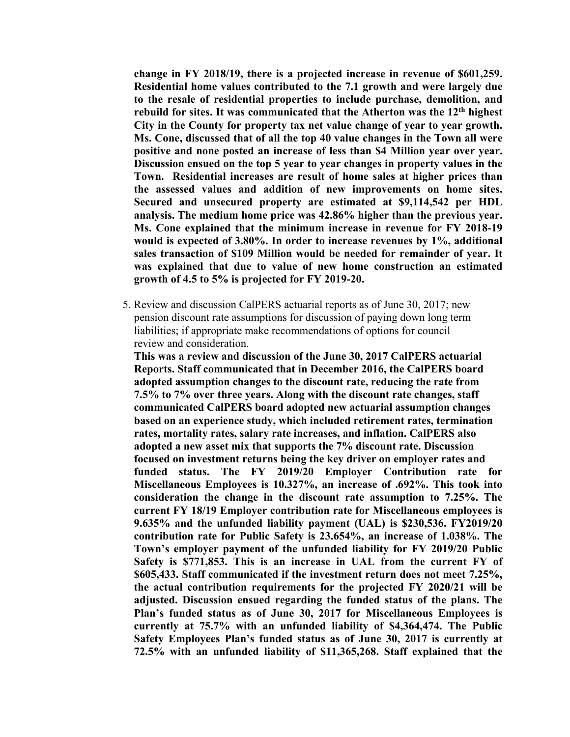**change in FY 2018/19, there is a projected increase in revenue of \$601,259. Residential home values contributed to the 7.1 growth and were largely due to the resale of residential properties to include purchase, demolition, and rebuild for sites. It was communicated that the Atherton was the 12th highest City in the County for property tax net value change of year to year growth. Ms. Cone, discussed that of all the top 40 value changes in the Town all were positive and none posted an increase of less than \$4 Million year over year. Discussion ensued on the top 5 year to year changes in property values in the Town. Residential increases are result of home sales at higher prices than the assessed values and addition of new improvements on home sites. Secured and unsecured property are estimated at \$9,114,542 per HDL analysis. The medium home price was 42.86% higher than the previous year. Ms. Cone explained that the minimum increase in revenue for FY 2018-19 would is expected of 3.80%. In order to increase revenues by 1%, additional sales transaction of \$109 Million would be needed for remainder of year. It was explained that due to value of new home construction an estimated growth of 4.5 to 5% is projected for FY 2019-20.**

 5. Review and discussion CalPERS actuarial reports as of June 30, 2017; new pension discount rate assumptions for discussion of paying down long term liabilities; if appropriate make recommendations of options for council review and consideration.

**This was a review and discussion of the June 30, 2017 CalPERS actuarial Reports. Staff communicated that in December 2016, the CalPERS board adopted assumption changes to the discount rate, reducing the rate from 7.5% to 7% over three years. Along with the discount rate changes, staff communicated CalPERS board adopted new actuarial assumption changes based on an experience study, which included retirement rates, termination rates, mortality rates, salary rate increases, and inflation. CalPERS also adopted a new asset mix that supports the 7% discount rate. Discussion focused on investment returns being the key driver on employer rates and funded status. The FY 2019/20 Employer Contribution rate for Miscellaneous Employees is 10.327%, an increase of .692%. This took into consideration the change in the discount rate assumption to 7.25%. The current FY 18/19 Employer contribution rate for Miscellaneous employees is 9.635% and the unfunded liability payment (UAL) is \$230,536. FY2019/20 contribution rate for Public Safety is 23.654%, an increase of 1.038%. The Town's employer payment of the unfunded liability for FY 2019/20 Public Safety is \$771,853. This is an increase in UAL from the current FY of \$605,433. Staff communicated if the investment return does not meet 7.25%, the actual contribution requirements for the projected FY 2020/21 will be adjusted. Discussion ensued regarding the funded status of the plans. The Plan's funded status as of June 30, 2017 for Miscellaneous Employees is currently at 75.7% with an unfunded liability of \$4,364,474. The Public Safety Employees Plan's funded status as of June 30, 2017 is currently at 72.5% with an unfunded liability of \$11,365,268. Staff explained that the**